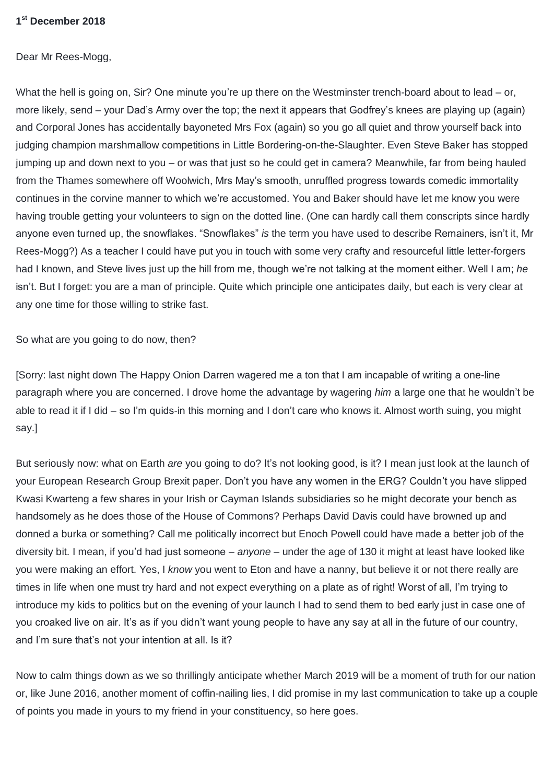## **1 st December 2018**

Dear Mr Rees-Mogg,

What the hell is going on, Sir? One minute you're up there on the Westminster trench-board about to lead – or, more likely, send – your Dad's Army over the top; the next it appears that Godfrey's knees are playing up (again) and Corporal Jones has accidentally bayoneted Mrs Fox (again) so you go all quiet and throw yourself back into judging champion marshmallow competitions in Little Bordering-on-the-Slaughter. Even Steve Baker has stopped jumping up and down next to you – or was that just so he could get in camera? Meanwhile, far from being hauled from the Thames somewhere off Woolwich, Mrs May's smooth, unruffled progress towards comedic immortality continues in the corvine manner to which we're accustomed. You and Baker should have let me know you were having trouble getting your volunteers to sign on the dotted line. (One can hardly call them conscripts since hardly anyone even turned up, the snowflakes. "Snowflakes" *is* the term you have used to describe Remainers, isn't it, Mr Rees-Mogg?) As a teacher I could have put you in touch with some very crafty and resourceful little letter-forgers had I known, and Steve lives just up the hill from me, though we're not talking at the moment either. Well I am; *he* isn't. But I forget: you are a man of principle. Quite which principle one anticipates daily, but each is very clear at any one time for those willing to strike fast.

So what are you going to do now, then?

[Sorry: last night down The Happy Onion Darren wagered me a ton that I am incapable of writing a one-line paragraph where you are concerned. I drove home the advantage by wagering *him* a large one that he wouldn't be able to read it if I did – so I'm quids-in this morning and I don't care who knows it. Almost worth suing, you might say.]

But seriously now: what on Earth *are* you going to do? It's not looking good, is it? I mean just look at the launch of your European Research Group Brexit paper. Don't you have any women in the ERG? Couldn't you have slipped Kwasi Kwarteng a few shares in your Irish or Cayman Islands subsidiaries so he might decorate your bench as handsomely as he does those of the House of Commons? Perhaps David Davis could have browned up and donned a burka or something? Call me politically incorrect but Enoch Powell could have made a better job of the diversity bit. I mean, if you'd had just someone – *anyone* – under the age of 130 it might at least have looked like you were making an effort. Yes, I *know* you went to Eton and have a nanny, but believe it or not there really are times in life when one must try hard and not expect everything on a plate as of right! Worst of all, I'm trying to introduce my kids to politics but on the evening of your launch I had to send them to bed early just in case one of you croaked live on air. It's as if you didn't want young people to have any say at all in the future of our country, and I'm sure that's not your intention at all. Is it?

Now to calm things down as we so thrillingly anticipate whether March 2019 will be a moment of truth for our nation or, like June 2016, another moment of coffin-nailing lies, I did promise in my last communication to take up a couple of points you made in yours to my friend in your constituency, so here goes.